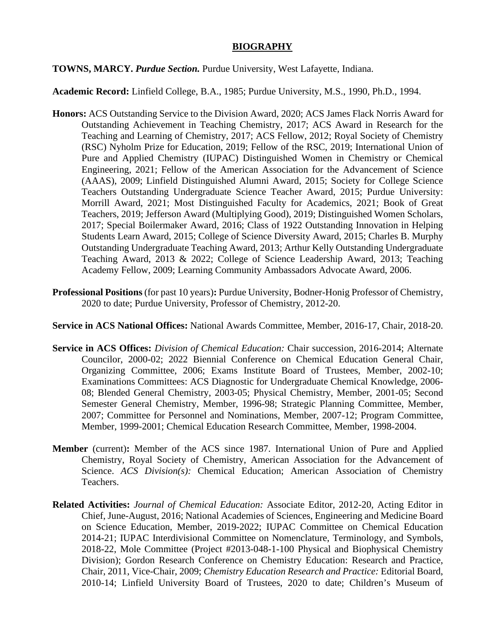## **BIOGRAPHY**

## **TOWNS, MARCY.** *Purdue Section.* Purdue University, West Lafayette, Indiana.

## **Academic Record:** Linfield College, B.A., 1985; Purdue University, M.S., 1990, Ph.D., 1994.

- **Honors:** ACS Outstanding Service to the Division Award, 2020; ACS James Flack Norris Award for Outstanding Achievement in Teaching Chemistry, 2017; ACS Award in Research for the Teaching and Learning of Chemistry, 2017; ACS Fellow, 2012; Royal Society of Chemistry (RSC) Nyholm Prize for Education, 2019; Fellow of the RSC, 2019; International Union of Pure and Applied Chemistry (IUPAC) Distinguished Women in Chemistry or Chemical Engineering, 2021; Fellow of the American Association for the Advancement of Science (AAAS), 2009; Linfield Distinguished Alumni Award, 2015; Society for College Science Teachers Outstanding Undergraduate Science Teacher Award, 2015; Purdue University: Morrill Award, 2021; Most Distinguished Faculty for Academics, 2021; Book of Great Teachers, 2019; Jefferson Award (Multiplying Good), 2019; Distinguished Women Scholars, 2017; Special Boilermaker Award, 2016; Class of 1922 Outstanding Innovation in Helping Students Learn Award, 2015; College of Science Diversity Award, 2015; Charles B. Murphy Outstanding Undergraduate Teaching Award, 2013; Arthur Kelly Outstanding Undergraduate Teaching Award, 2013 & 2022; College of Science Leadership Award, 2013; Teaching Academy Fellow, 2009; Learning Community Ambassadors Advocate Award, 2006.
- **Professional Positions** (for past 10 years)**:** Purdue University, Bodner-Honig Professor of Chemistry, 2020 to date; Purdue University, Professor of Chemistry, 2012-20.
- **Service in ACS National Offices:** National Awards Committee, Member, 2016-17, Chair, 2018-20.
- **Service in ACS Offices:** *Division of Chemical Education:* Chair succession, 2016-2014; Alternate Councilor, 2000-02; 2022 Biennial Conference on Chemical Education General Chair, Organizing Committee, 2006; Exams Institute Board of Trustees, Member, 2002-10; Examinations Committees: ACS Diagnostic for Undergraduate Chemical Knowledge, 2006- 08; Blended General Chemistry, 2003-05; Physical Chemistry, Member, 2001-05; Second Semester General Chemistry, Member, 1996-98; Strategic Planning Committee, Member, 2007; Committee for Personnel and Nominations, Member, 2007-12; Program Committee, Member, 1999-2001; Chemical Education Research Committee, Member, 1998-2004.
- **Member** (current)**:** Member of the ACS since 1987. International Union of Pure and Applied Chemistry, Royal Society of Chemistry, American Association for the Advancement of Science. *ACS Division(s)*: Chemical Education; American Association of Chemistry Teachers.
- **Related Activities:** *Journal of Chemical Education:* Associate Editor, 2012-20, Acting Editor in Chief, June-August, 2016; National Academies of Sciences, Engineering and Medicine Board on Science Education, Member, 2019-2022; IUPAC Committee on Chemical Education 2014-21; IUPAC Interdivisional Committee on Nomenclature, Terminology, and Symbols, 2018-22, Mole Committee (Project #2013-048-1-100 Physical and Biophysical Chemistry Division); Gordon Research Conference on Chemistry Education: Research and Practice, Chair, 2011, Vice-Chair, 2009; *Chemistry Education Research and Practice:* Editorial Board, 2010-14; Linfield University Board of Trustees, 2020 to date; Children's Museum of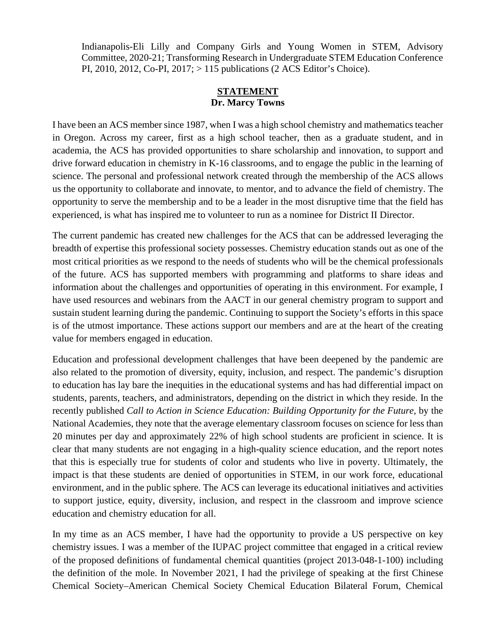Indianapolis-Eli Lilly and Company Girls and Young Women in STEM, Advisory Committee, 2020-21; Transforming Research in Undergraduate STEM Education Conference PI, 2010, 2012, Co-PI, 2017; > 115 publications (2 ACS Editor's Choice).

## **STATEMENT Dr. Marcy Towns**

I have been an ACS member since 1987, when I was a high school chemistry and mathematics teacher in Oregon. Across my career, first as a high school teacher, then as a graduate student, and in academia, the ACS has provided opportunities to share scholarship and innovation, to support and drive forward education in chemistry in K-16 classrooms, and to engage the public in the learning of science. The personal and professional network created through the membership of the ACS allows us the opportunity to collaborate and innovate, to mentor, and to advance the field of chemistry. The opportunity to serve the membership and to be a leader in the most disruptive time that the field has experienced, is what has inspired me to volunteer to run as a nominee for District II Director.

The current pandemic has created new challenges for the ACS that can be addressed leveraging the breadth of expertise this professional society possesses. Chemistry education stands out as one of the most critical priorities as we respond to the needs of students who will be the chemical professionals of the future. ACS has supported members with programming and platforms to share ideas and information about the challenges and opportunities of operating in this environment. For example, I have used resources and webinars from the AACT in our general chemistry program to support and sustain student learning during the pandemic. Continuing to support the Society's efforts in this space is of the utmost importance. These actions support our members and are at the heart of the creating value for members engaged in education.

Education and professional development challenges that have been deepened by the pandemic are also related to the promotion of diversity, equity, inclusion, and respect. The pandemic's disruption to education has lay bare the inequities in the educational systems and has had differential impact on students, parents, teachers, and administrators, depending on the district in which they reside. In the recently published *Call to Action in Science Education: Building Opportunity for the Future*, by the National Academies, they note that the average elementary classroom focuses on science for less than 20 minutes per day and approximately 22% of high school students are proficient in science. It is clear that many students are not engaging in a high-quality science education, and the report notes that this is especially true for students of color and students who live in poverty. Ultimately, the impact is that these students are denied of opportunities in STEM, in our work force, educational environment, and in the public sphere. The ACS can leverage its educational initiatives and activities to support justice, equity, diversity, inclusion, and respect in the classroom and improve science education and chemistry education for all.

In my time as an ACS member, I have had the opportunity to provide a US perspective on key chemistry issues. I was a member of the IUPAC project committee that engaged in a critical review of the proposed definitions of fundamental chemical quantities (project 2013-048-1-100) including the definition of the mole. In November 2021, I had the privilege of speaking at the first Chinese Chemical Society–American Chemical Society Chemical Education Bilateral Forum, Chemical